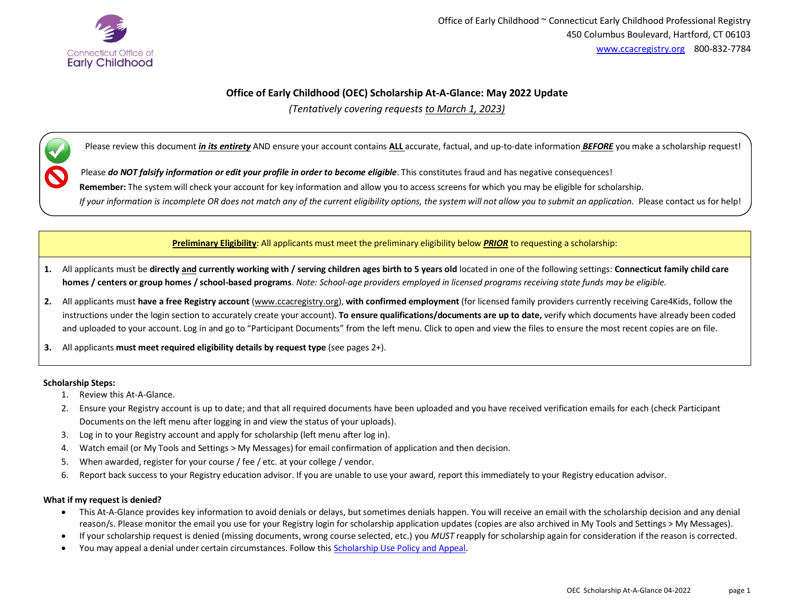

# **Office of Early Childhood (OEC) Scholarship At-A-Glance: May 2022 Update**

*(Tentatively covering requests to March 1, 2023)*

Please review this document *in its entirety* AND ensure your account contains **ALL** accurate, factual, and up-to-date information *BEFORE* you make a scholarship request!

Please *do NOT falsify information or edit your profile in order to become eligible*. This constitutes fraud and has negative consequences!

**Remember:** The system will check your account for key information and allow you to access screens for which you may be eligible for scholarship.

*If your information is incomplete OR does not match any of the current eligibility options, the system will not allow you to submit an application.* Please contact us for help!

**Preliminary Eligibility**: All applicants must meet the preliminary eligibility below *PRIOR* to requesting a scholarship:

- 1. All applicants must be directly and currently working with / serving children ages birth to 5 years old located in one of the following settings: Connecticut family child care **homes / centers or group homes / school-based programs**. *Note: School-age providers employed in licensed programs receiving state funds may be eligible.*
- **2.** All applicants must **have a free Registry account** [\(www.ccacregistry.org\)](http://www.ccacregistry.org/), **with confirmed employment** (for licensed family providers currently receiving Care4Kids, follow the instructions under the login section to accurately create your account). **To ensure qualifications/documents are up to date,** verify which documents have already been coded and uploaded to your account. Log in and go to "Participant Documents" from the left menu. Click to open and view the files to ensure the most recent copies are on file.
- **3.** All applicants **must meet required eligibility details by request type** (see pages 2+).

#### **Scholarship Steps:**

- 1. Review this At-A-Glance.
- 2. Ensure your Registry account is up to date; and that all required documents have been uploaded and you have received verification emails for each (check Participant Documents on the left menu after logging in and view the status of your uploads).
- 3. Log in to your Registry account and apply for scholarship (left menu after log in).
- 4. Watch email (or My Tools and Settings > My Messages) for email confirmation of application and then decision.
- 5. When awarded, register for your course / fee / etc. at your college / vendor.
- 6. Report back success to your Registry education advisor. If you are unable to use your award, report this immediately to your Registry education advisor.

#### **What if my request is denied?**

- This At-A-Glance provides key information to avoid denials or delays, but sometimes denials happen. You will receive an email with the scholarship decision and any denial reason/s. Please monitor the email you use for your Registry login for scholarship application updates (copies are also archived in My Tools and Settings > My Messages).
- If your scholarship request is denied (missing documents, wrong course selected, etc.) you *MUST* reapply for scholarship again for consideration if the reason is corrected.
- You may appeal a denial under certain circumstances. Follow this **Scholarship Use Policy and Appeal**.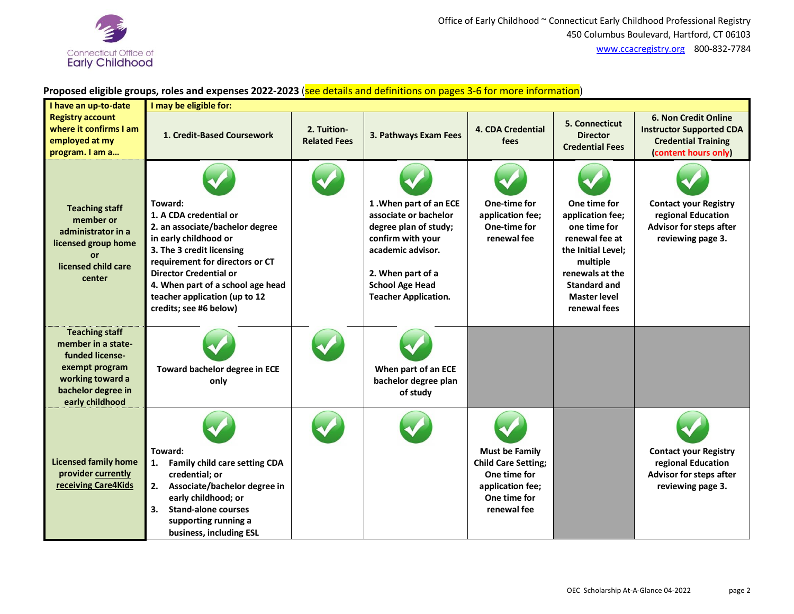

# **Proposed eligible groups, roles and expenses 2022-2023** (see details and definitions on pages 3-6 for more information)

| I have an up-to-date                                                                                                                          | I may be eligible for:                                                                                                                                                                                                                                                                         |                                    |                                                                                                                                                                                                  |                                                                                                                        |                                                                                                                                                                                       |                                                                                                                      |
|-----------------------------------------------------------------------------------------------------------------------------------------------|------------------------------------------------------------------------------------------------------------------------------------------------------------------------------------------------------------------------------------------------------------------------------------------------|------------------------------------|--------------------------------------------------------------------------------------------------------------------------------------------------------------------------------------------------|------------------------------------------------------------------------------------------------------------------------|---------------------------------------------------------------------------------------------------------------------------------------------------------------------------------------|----------------------------------------------------------------------------------------------------------------------|
| <b>Registry account</b><br>where it confirms I am<br>employed at my<br>program. I am a                                                        | 1. Credit-Based Coursework                                                                                                                                                                                                                                                                     | 2. Tuition-<br><b>Related Fees</b> | 3. Pathways Exam Fees                                                                                                                                                                            | <b>4. CDA Credential</b><br><b>fees</b>                                                                                | 5. Connecticut<br><b>Director</b><br><b>Credential Fees</b>                                                                                                                           | <b>6. Non Credit Online</b><br><b>Instructor Supported CDA</b><br><b>Credential Training</b><br>(content hours only) |
| <b>Teaching staff</b><br>member or<br>administrator in a<br>licensed group home<br><b>or</b><br>licensed child care<br>center                 | Toward:<br>1. A CDA credential or<br>2. an associate/bachelor degree<br>in early childhood or<br>3. The 3 credit licensing<br>requirement for directors or CT<br><b>Director Credential or</b><br>4. When part of a school age head<br>teacher application (up to 12<br>credits; see #6 below) |                                    | 1. When part of an ECE<br>associate or bachelor<br>degree plan of study;<br>confirm with your<br>academic advisor.<br>2. When part of a<br><b>School Age Head</b><br><b>Teacher Application.</b> | One-time for<br>application fee;<br>One-time for<br>renewal fee                                                        | One time for<br>application fee;<br>one time for<br>renewal fee at<br>the Initial Level;<br>multiple<br>renewals at the<br><b>Standard and</b><br><b>Master level</b><br>renewal fees | <b>Contact your Registry</b><br>regional Education<br>Advisor for steps after<br>reviewing page 3.                   |
| <b>Teaching staff</b><br>member in a state-<br>funded license-<br>exempt program<br>working toward a<br>bachelor degree in<br>early childhood | Toward bachelor degree in ECE<br>only                                                                                                                                                                                                                                                          |                                    | When part of an ECE<br>bachelor degree plan<br>of study                                                                                                                                          |                                                                                                                        |                                                                                                                                                                                       |                                                                                                                      |
| <b>Licensed family home</b><br>provider currently<br>receiving Care4Kids                                                                      | Toward:<br>Family child care setting CDA<br>1.<br>credential; or<br>2.<br>Associate/bachelor degree in<br>early childhood; or<br><b>Stand-alone courses</b><br>3.<br>supporting running a<br>business, including ESL                                                                           |                                    |                                                                                                                                                                                                  | <b>Must be Family</b><br><b>Child Care Setting;</b><br>One time for<br>application fee;<br>One time for<br>renewal fee |                                                                                                                                                                                       | <b>Contact your Registry</b><br>regional Education<br>Advisor for steps after<br>reviewing page 3.                   |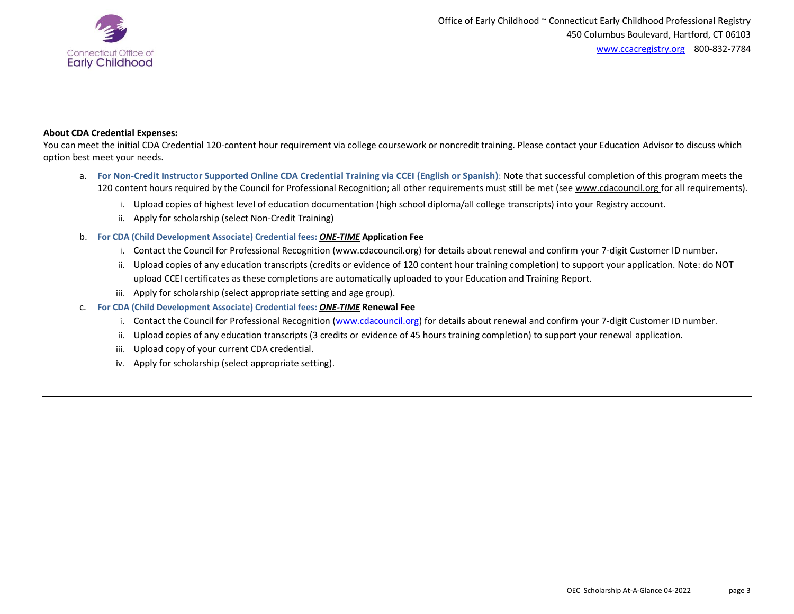

## **About CDA Credential Expenses:**

You can meet the initial CDA Credential 120-content hour requirement via college coursework or noncredit training. Please contact your Education Advisor to discuss which option best meet your needs.

- a. **For Non-Credit Instructor Supported Online CDA Credential Training via CCEI (English or Spanish)**: Note that successful completion of this program meets the 120 content hours required by the Council for Professional Recognition; all other requirements must still be met (see [www.cdacouncil.org](http://www.cdacouncil.org/) for all requirements).
	- i. Upload copies of highest level of education documentation (high school diploma/all college transcripts) into your Registry account.
	- ii. Apply for scholarship (select Non-Credit Training)

## b. **For CDA (Child Development Associate) Credential fees:** *ONE-TIME* **Application Fee**

- i. Contact the Council for Professional Recognition (www.cdacouncil.org) for details about renewal and confirm your 7-digit Customer ID number.
- ii. Upload copies of any education transcripts (credits or evidence of 120 content hour training completion) to support your application. Note: do NOT upload CCEI certificates as these completions are automatically uploaded to your Education and Training Report.
- iii. Apply for scholarship (select appropriate setting and age group).

#### c. **For CDA (Child Development Associate) Credential fees:** *ONE-TIME* **Renewal Fee**

- i. Contact the Council for Professional Recognition [\(www.cdacouncil.org\)](http://www.cdacouncil.org/) for details about renewal and confirm your 7-digit Customer ID number.
- ii. Upload copies of any education transcripts (3 credits or evidence of 45 hours training completion) to support your renewal application.
- iii. Upload copy of your current CDA credential.
- iv. Apply for scholarship (select appropriate setting).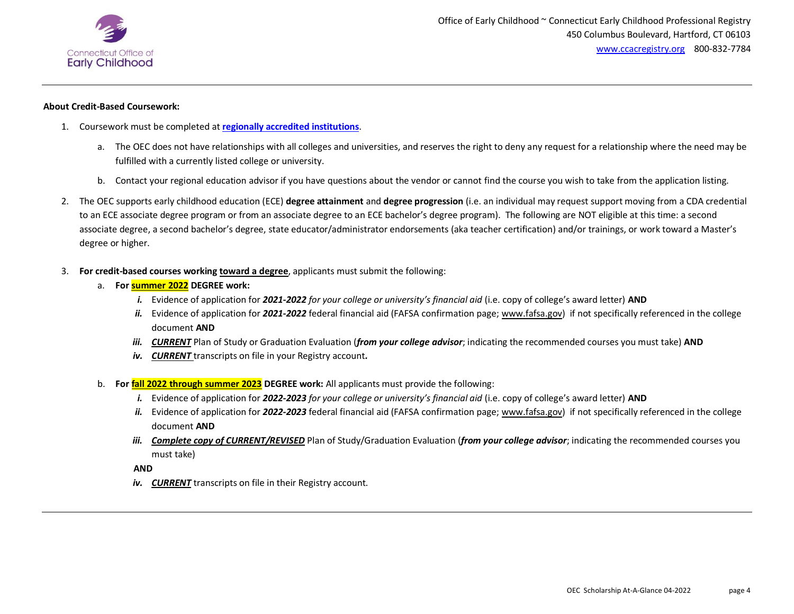

#### **About Credit-Based Coursework:**

- 1. Coursework must be completed at **[regionally accredited institutions](https://ccacregistry.org/index.cfm?module=whatIsCollegeAccreditation&navID=nav36)**.
	- a. The OEC does not have relationships with all colleges and universities, and reserves the right to deny any request for a relationship where the need may be fulfilled with a currently listed college or university.
	- b. Contact your regional education advisor if you have questions about the vendor or cannot find the course you wish to take from the application listing.
- 2. The OEC supports early childhood education (ECE) **degree attainment** and **degree progression** (i.e. an individual may request support moving from a CDA credential to an ECE associate degree program or from an associate degree to an ECE bachelor's degree program). The following are NOT eligible at this time: a second associate degree, a second bachelor's degree, state educator/administrator endorsements (aka teacher certification) and/or trainings, or work toward a Master's degree or higher.
- 3. **For credit-based courses working toward a degree**, applicants must submit the following:
	- a. **For summer 2022 DEGREE work:**
		- *i.* Evidence of application for *2021-2022 for your college or university's financial aid* (i.e. copy of college's award letter) **AND**
		- *ii.* Evidence of application for *2021-2022* federal financial aid (FAFSA confirmation page; [www.fafsa.gov\)](http://www.fafsa.gov/) if not specifically referenced in the college document **AND**
		- *iii. CURRENT* Plan of Study or Graduation Evaluation (*from your college advisor*; indicating the recommended courses you must take) **AND**
		- *iv. CURRENT* transcripts on file in your Registry account*.*
	- b. **For fall 2022 through summer 2023 DEGREE work:** All applicants must provide the following:
		- *i.* Evidence of application for *2022-2023 for your college or university's financial aid* (i.e. copy of college's award letter) **AND**
		- *ii.* Evidence of application for *2022-2023* federal financial aid (FAFSA confirmation page; [www.fafsa.gov\)](http://www.fafsa.gov/) if not specifically referenced in the college document **AND**
		- *iii. Complete copy of CURRENT/REVISED* Plan of Study/Graduation Evaluation (*from your college advisor*; indicating the recommended courses you must take)

**AND** 

*iv. CURRENT* transcripts on file in their Registry account.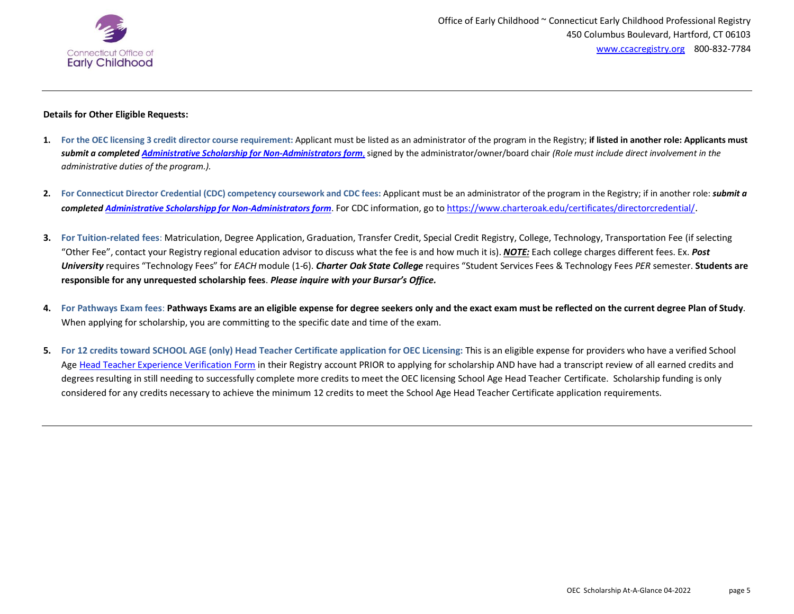

## **Details for Other Eligible Requests:**

- **1. For the OEC licensing 3 credit director course requirement:** Applicant must be listed as an administrator of the program in the Registry; **if listed in another role: Applicants must** *submit a completed Administrative [Scholarship for Non-Administrators form](https://ccacregistry.org/index.cfm?module=oecScholarshipAssistanceProgram&navID=nav5)*, signed by the administrator/owner/board chair *(Role must include direct involvement in the administrative duties of the program.).*
- **2. For Connecticut Director Credential (CDC) competency coursework and CDC fees:** Applicant must be an administrator of the program in the Registry; if in another role: *submit a completed [Administrative Scholarshipp for Non-Administrators form](https://ccacregistry.org/index.cfm?module=oecScholarshipAssistanceProgram&navID=nav5)*. For CDC information, go t[o https://www.charteroak.edu/certificates/directorcredential/](https://www.charteroak.edu/certificates/directorcredential/).
- **3. For Tuition-related fees**: Matriculation, Degree Application, Graduation, Transfer Credit, Special Credit Registry, College, Technology, Transportation Fee (if selecting "Other Fee", contact your Registry regional education advisor to discuss what the fee is and how much it is). *NOTE:* Each college charges different fees. Ex. *Post University* requires "Technology Fees" for *EACH* module (1-6). *Charter Oak State College* requires "Student Services Fees & Technology Fees *PER* semester. **Students are responsible for any unrequested scholarship fees**. *Please inquire with your Bursar's Office.*
- **4. For Pathways Exam fees**: **Pathways Exams are an eligible expense for degree seekers only and the exact exam must be reflected on the current degree Plan of Study**. When applying for scholarship, you are committing to the specific date and time of the exam.
- **5. For 12 credits toward SCHOOL AGE (only) Head Teacher Certificate application for OEC Licensing:** This is an eligible expense for providers who have a verified School Age [Head Teacher Experience Verification Form](https://www.ccacregistry.org/index.cfm?module=howToApplyForTheHeadTeacherCertificate&navID=nav6) in their Registry account PRIOR to applying for scholarship AND have had a transcript review of all earned credits and degrees resulting in still needing to successfully complete more credits to meet the OEC licensing School Age Head Teacher Certificate. Scholarship funding is only considered for any credits necessary to achieve the minimum 12 credits to meet the School Age Head Teacher Certificate application requirements.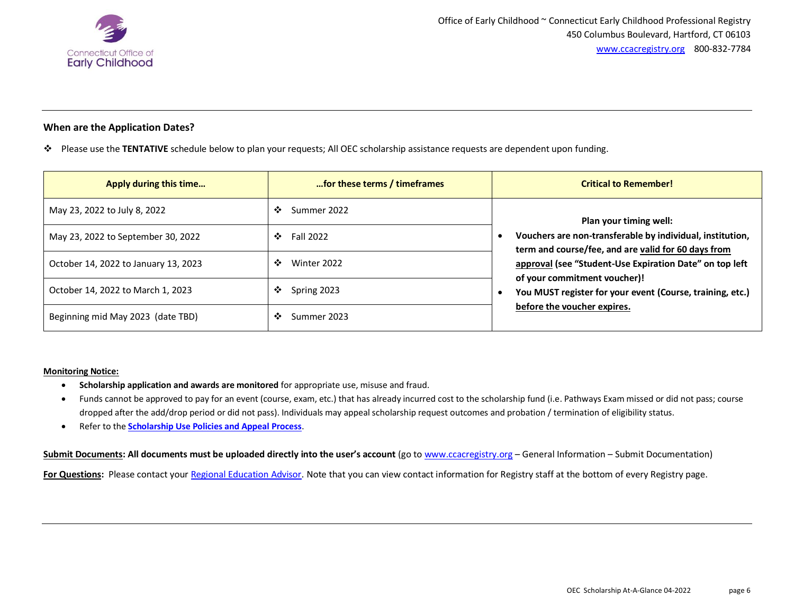

# **When are the Application Dates?**

Please use the **TENTATIVE** schedule below to plan your requests; All OEC scholarship assistance requests are dependent upon funding.

| Apply during this time               | for these terms / timeframes | <b>Critical to Remember!</b>                                                                                                                                                                                                                                                                                                      |
|--------------------------------------|------------------------------|-----------------------------------------------------------------------------------------------------------------------------------------------------------------------------------------------------------------------------------------------------------------------------------------------------------------------------------|
| May 23, 2022 to July 8, 2022         | ❖<br>Summer 2022             | Plan your timing well:<br>Vouchers are non-transferable by individual, institution,<br>term and course/fee, and are valid for 60 days from<br>approval (see "Student-Use Expiration Date" on top left<br>of your commitment voucher)!<br>You MUST register for your event (Course, training, etc.)<br>before the voucher expires. |
| May 23, 2022 to September 30, 2022   | <b>Fall 2022</b><br>❖        |                                                                                                                                                                                                                                                                                                                                   |
| October 14, 2022 to January 13, 2023 | ❖<br>Winter 2022             |                                                                                                                                                                                                                                                                                                                                   |
| October 14, 2022 to March 1, 2023    | ❖<br>Spring 2023             |                                                                                                                                                                                                                                                                                                                                   |
| Beginning mid May 2023 (date TBD)    | ❖<br>Summer 2023             |                                                                                                                                                                                                                                                                                                                                   |

#### **Monitoring Notice:**

- **Scholarship application and awards are monitored** for appropriate use, misuse and fraud.
- Funds cannot be approved to pay for an event (course, exam, etc.) that has already incurred cost to the scholarship fund (i.e. Pathways Exam missed or did not pass; course dropped after the add/drop period or did not pass). Individuals may appeal scholarship request outcomes and probation / termination of eligibility status.
- Refer to the **[Scholarship Use Policies and Appeal Process](https://ccacregistry.org/_forms_documents/Scholarship_Use_Policy_And_Appeal_Process.pdf)**.

**Submit Documents: All documents must be uploaded directly into the user's account** (go t[o www.ccacregistry.org](http://www.ccacregistry.org/) – General Information – Submit Documentation)

For Questions: Please contact your [Regional Education Advisor.](https://ccacregistry.org/index.cfm?module=contactUs) Note that you can view contact information for Registry staff at the bottom of every Registry page.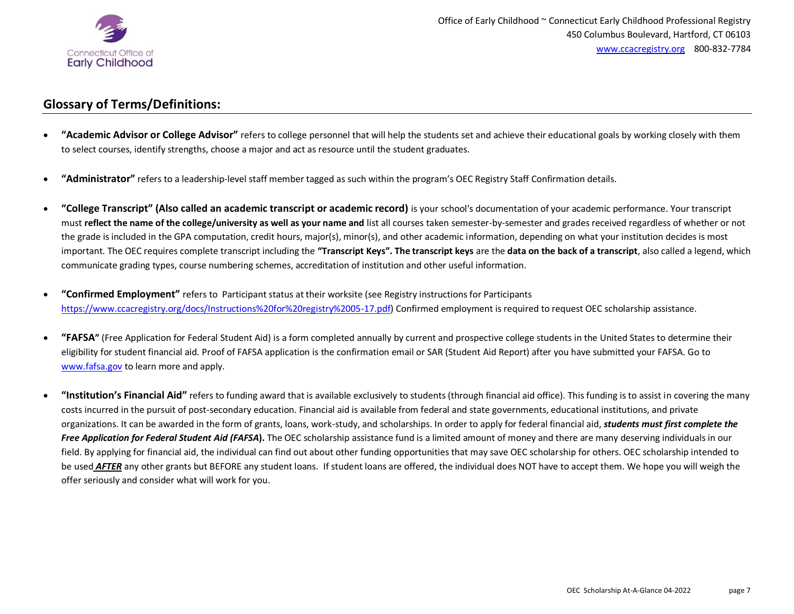

# **Glossary of Terms/Definitions:**

- **"Academic Advisor or College Advisor"** refers to college personnel that will help the students set and achieve their educational goals by working closely with them to select courses, identify strengths, choose a major and act as resource until the student graduates.
- **"Administrator"** refers to a leadership-level staff member tagged as such within the program's OEC Registry Staff Confirmation details.
- **"College Transcript" (Also called an academic transcript or academic record)** is your school's documentation of your academic performance. Your transcript must **reflect the name of the college/university as well as your name and** list all courses taken semester-by-semester and grades received regardless of whether or not the grade is included in the GPA computation, credit hours, major(s), minor(s), and other academic information, depending on what your institution decides is most important. The OEC requires complete transcript including the **"Transcript Keys". The transcript keys** are the **data on the back of a transcript**, also called a legend, which communicate grading types, course numbering schemes, accreditation of institution and other useful information.
- **"Confirmed Employment"** refers toParticipant status at their worksite (see Registry instructions for Participants [https://www.ccacregistry.org/docs/Instructions%20for%20registry%2005-17.pdf\)](https://www.ccacregistry.org/docs/Instructions%20for%20registry%2005-17.pdf) Confirmed employment is required to request OEC scholarship assistance.
- **"FAFSA"** (Free Application for Federal Student Aid) is a form completed annually by current and prospective college students in the United States to determine their eligibility for student financial aid. Proof of FAFSA application is the confirmation email or SAR (Student Aid Report) after you have submitted your FAFSA. Go to [www.fafsa.gov](http://www.fafsa.gov/) to learn more and apply.
- **"Institution's Financial Aid"** refers to funding award that is available exclusively to students (through financial aid office). This funding is to assist in covering the many costs incurred in the pursuit of post-secondary education. Financial aid is available from federal and state governments, educational institutions, and private organizations. It can be awarded in the form of grants, loans, work-study, and scholarships. In order to apply for federal financial aid, *students must first complete the Free Application for Federal Student Aid (FAFSA***).** The OEC scholarship assistance fund is a limited amount of money and there are many deserving individuals in our field. By applying for financial aid, the individual can find out about other funding opportunities that may save OEC scholarship for others. OEC scholarship intended to be used **AFTER** any other grants but BEFORE any student loans. If student loans are offered, the individual does NOT have to accept them. We hope you will weigh the offer seriously and consider what will work for you.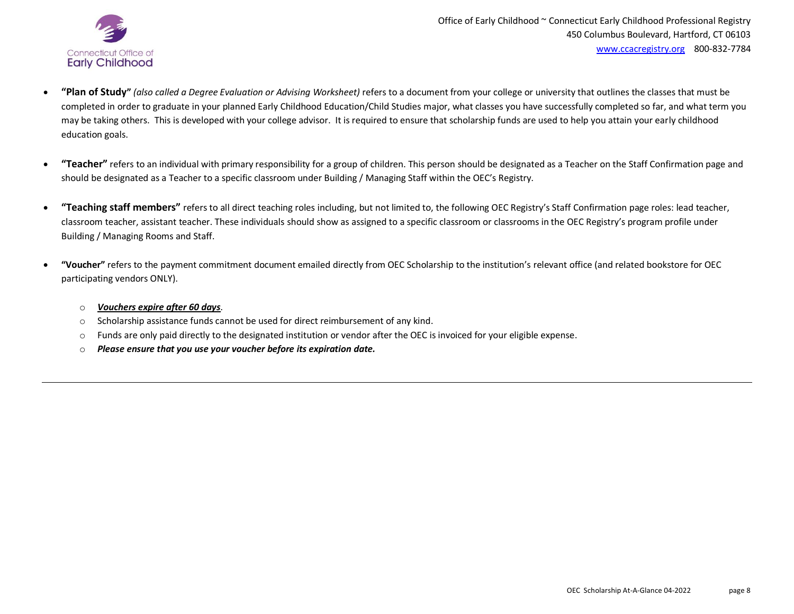

- **"Plan of Study"** *(also called a Degree Evaluation or Advising Worksheet)* refers to a document from your college or university that outlines the classes that must be completed in order to graduate in your planned Early Childhood Education/Child Studies major, what classes you have successfully completed so far, and what term you may be taking others. This is developed with your college advisor. It is required to ensure that scholarship funds are used to help you attain your early childhood education goals.
- "Teacher" refers to an individual with primary responsibility for a group of children. This person should be designated as a Teacher on the Staff Confirmation page and should be designated as a Teacher to a specific classroom under Building / Managing Staff within the OEC's Registry.
- **"Teaching staff members"** refers to all direct teaching roles including, but not limited to, the following OEC Registry's Staff Confirmation page roles: lead teacher, classroom teacher, assistant teacher. These individuals should show as assigned to a specific classroom or classrooms in the OEC Registry's program profile under Building / Managing Rooms and Staff.
- **"Voucher"** refers to the payment commitment document emailed directly from OEC Scholarship to the institution's relevant office (and related bookstore for OEC participating vendors ONLY).
	- o *Vouchers expire after 60 days*.
	- $\circ$  Scholarship assistance funds cannot be used for direct reimbursement of any kind.
	- o Funds are only paid directly to the designated institution or vendor after the OEC is invoiced for your eligible expense.
	- o *Please ensure that you use your voucher before its expiration date.*